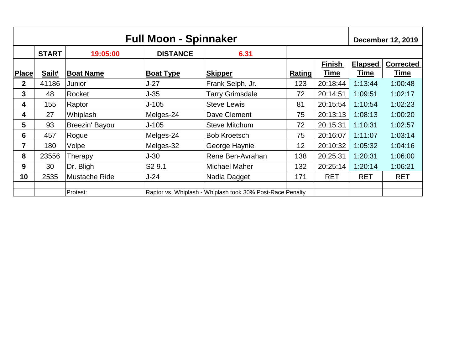| <b>Full Moon - Spinnaker</b> |                                                                       |                  |                    |                        |        | <b>December 12, 2019</b> |                |                  |
|------------------------------|-----------------------------------------------------------------------|------------------|--------------------|------------------------|--------|--------------------------|----------------|------------------|
|                              | <b>START</b>                                                          | 19:05:00         | <b>DISTANCE</b>    | 6.31                   |        |                          |                |                  |
|                              |                                                                       |                  |                    |                        |        | <b>Finish</b>            | <b>Elapsed</b> | <b>Corrected</b> |
| <b>Place</b>                 | Sail#                                                                 | <b>Boat Name</b> | <b>Boat Type</b>   | <b>Skipper</b>         | Rating | Time                     | <b>Time</b>    | Time             |
| $\mathbf{2}$                 | 41186                                                                 | Junior           | J-27               | Frank Selph, Jr.       | 123    | 20:18:44                 | 1:13:44        | 1:00:48          |
| 3                            | 48                                                                    | Rocket           | $J-35$             | <b>Tarry Grimsdale</b> | 72     | 20:14:51                 | 1:09:51        | 1:02:17          |
| 4                            | 155                                                                   | Raptor           | $J-105$            | <b>Steve Lewis</b>     | 81     | 20:15:54                 | 1:10:54        | 1:02:23          |
| 4                            | 27                                                                    | Whiplash         | Melges-24          | Dave Clement           | 75     | 20:13:13                 | 1:08:13        | 1:00:20          |
| 5                            | 93                                                                    | Breezin' Bayou   | J-105              | Steve Mitchum          | 72     | 20:15:31                 | 1:10:31        | 1:02:57          |
| 6                            | 457                                                                   | Rogue            | Melges-24          | <b>Bob Kroetsch</b>    | 75     | 20:16:07                 | 1:11:07        | 1:03:14          |
| 7                            | 180                                                                   | Volpe            | Melges-32          | George Haynie          | 12     | 20:10:32                 | 1:05:32        | 1:04:16          |
| 8                            | 23556                                                                 | Therapy          | J-30               | Rene Ben-Avrahan       | 138    | 20:25:31                 | 1:20:31        | 1:06:00          |
| 9                            | 30                                                                    | Dr. Bligh        | S <sub>2</sub> 9.1 | Michael Maher          | 132    | 20:25:14                 | 1:20:14        | 1:06:21          |
| 10                           | 2535                                                                  | Mustache Ride    | J-24               | Nadia Dagget           | 171    | <b>RET</b>               | <b>RET</b>     | <b>RET</b>       |
|                              |                                                                       |                  |                    |                        |        |                          |                |                  |
|                              | Raptor vs. Whiplash - Whiplash took 30% Post-Race Penalty<br>Protest: |                  |                    |                        |        |                          |                |                  |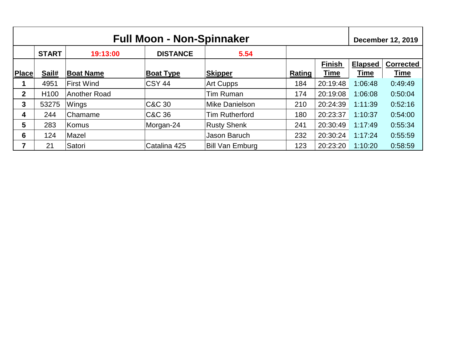| <b>Full Moon - Non-Spinnaker</b> |                  |                   |                  |                        |               | <b>December 12, 2019</b> |                |                  |
|----------------------------------|------------------|-------------------|------------------|------------------------|---------------|--------------------------|----------------|------------------|
|                                  | <b>START</b>     | 19:13:00          | <b>DISTANCE</b>  | 5.54                   |               |                          |                |                  |
|                                  |                  |                   |                  |                        |               | <b>Finish</b>            | <b>Elapsed</b> | <b>Corrected</b> |
| Place                            | Sail#            | <b>Boat Name</b>  | <b>Boat Type</b> | <b>Skipper</b>         | <b>Rating</b> | <b>Time</b>              | <u>Time</u>    | <u>Time</u>      |
|                                  | 4951             | <b>First Wind</b> | <b>CSY 44</b>    | <b>Art Cupps</b>       | 184           | 20:19:48                 | 1:06:48        | 0:49:49          |
| $\overline{2}$                   | H <sub>100</sub> | Another Road      |                  | Tim Ruman              | 174           | 20:19:08                 | 1:06:08        | 0:50:04          |
| 3                                | 53275            | Wings             | C&C 30           | Mike Danielson         | 210           | 20:24:39                 | 1:11:39        | 0:52:16          |
| 4                                | 244              | ∣Chamame          | C&C 36           | <b>Tim Rutherford</b>  | 180           | 20:23:37                 | 1:10:37        | 0:54:00          |
| 5                                | 283              | Komus             | Morgan-24        | <b>Rusty Shenk</b>     | 241           | 20:30:49                 | 1:17:49        | 0:55:34          |
| 6                                | 124              | Mazel             |                  | Jason Baruch           | 232           | 20:30:24                 | 1:17:24        | 0:55:59          |
| 7                                | 21               | Satori            | Catalina 425     | <b>Bill Van Emburg</b> | 123           | 20:23:20                 | 1:10:20        | 0:58:59          |